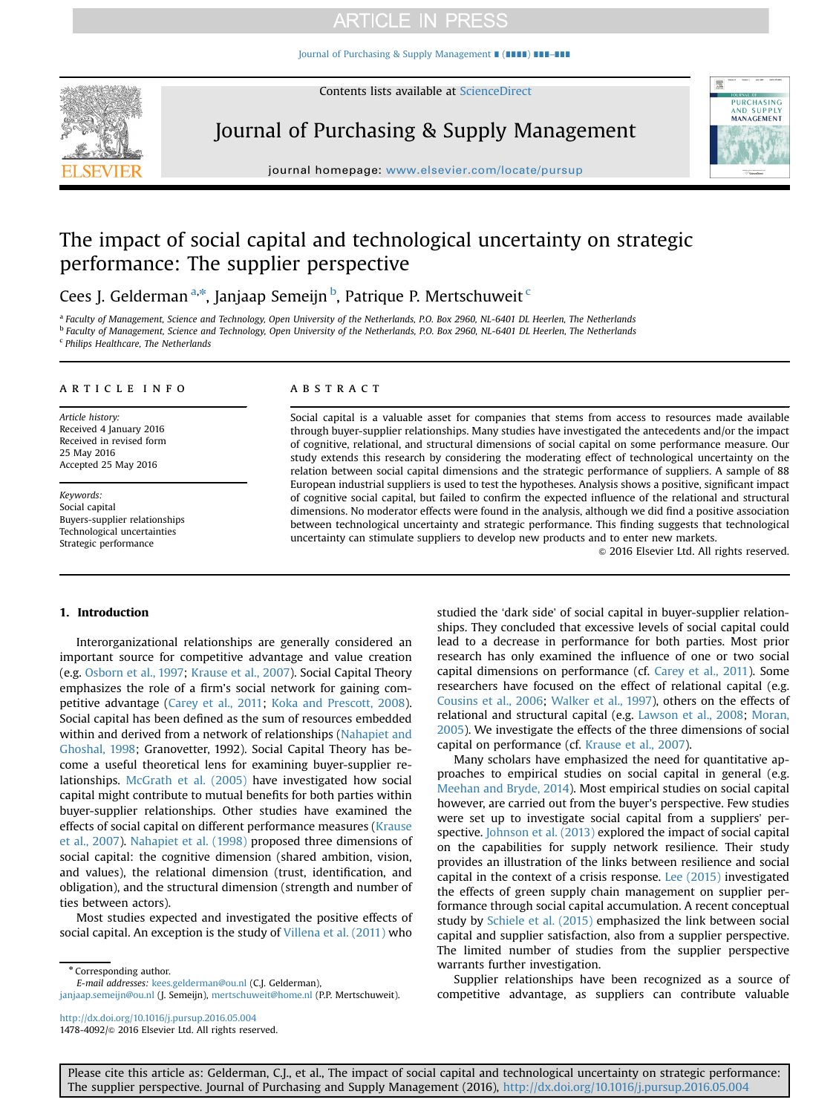[Journal of Purchasing & Supply Management](http://dx.doi.org/10.1016/j.pursup.2016.05.004) ∎ (∎∎∎∎) ∎∎∎–∎∎∎



Contents lists available at [ScienceDirect](www.sciencedirect.com/science/journal/14784092)

Journal of Purchasing & Supply Management



journal homepage: <www.elsevier.com/locate/pursup>

# The impact of social capital and technological uncertainty on strategic performance: The supplier perspective

Cees J. Gelderman <sup>a,\*</sup>, Janjaap Semeijn <sup>b</sup>, Patrique P. Mertschuweit <sup>c</sup>

a Faculty of Management, Science and Technology, Open University of the Netherlands, P.O. Box 2960, NL-6401 DL Heerlen, The Netherlands <sup>b</sup> Faculty of Management, Science and Technology, Open University of the Netherlands, P.O. Box 2960, NL-6401 DL Heerlen, The Netherlands <sup>c</sup> Philips Healthcare, The Netherlands

#### article info

Article history: Received 4 January 2016 Received in revised form 25 May 2016 Accepted 25 May 2016

Keywords: Social capital Buyers-supplier relationships Technological uncertainties Strategic performance

## **ABSTRACT**

Social capital is a valuable asset for companies that stems from access to resources made available through buyer-supplier relationships. Many studies have investigated the antecedents and/or the impact of cognitive, relational, and structural dimensions of social capital on some performance measure. Our study extends this research by considering the moderating effect of technological uncertainty on the relation between social capital dimensions and the strategic performance of suppliers. A sample of 88 European industrial suppliers is used to test the hypotheses. Analysis shows a positive, significant impact of cognitive social capital, but failed to confirm the expected influence of the relational and structural dimensions. No moderator effects were found in the analysis, although we did find a positive association between technological uncertainty and strategic performance. This finding suggests that technological uncertainty can stimulate suppliers to develop new products and to enter new markets.

 $©$  2016 Elsevier Ltd. All rights reserved.

## 1. Introduction

Interorganizational relationships are generally considered an important source for competitive advantage and value creation (e.g. [Osborn et al., 1997;](#page-8-0) [Krause et al., 2007\)](#page-8-0). Social Capital Theory emphasizes the role of a firm's social network for gaining competitive advantage [\(Carey et al., 2011](#page-8-0); [Koka and Prescott, 2008\)](#page-8-0). Social capital has been defined as the sum of resources embedded within and derived from a network of relationships ([Nahapiet and](#page-8-0) [Ghoshal, 1998;](#page-8-0) Granovetter, 1992). Social Capital Theory has become a useful theoretical lens for examining buyer-supplier relationships. [McGrath et al. \(2005\)](#page-8-0) have investigated how social capital might contribute to mutual benefits for both parties within buyer-supplier relationships. Other studies have examined the effects of social capital on different performance measures ([Krause](#page-8-0) [et al., 2007](#page-8-0)). [Nahapiet et al. \(1998\)](#page-8-0) proposed three dimensions of social capital: the cognitive dimension (shared ambition, vision, and values), the relational dimension (trust, identification, and obligation), and the structural dimension (strength and number of ties between actors).

Most studies expected and investigated the positive effects of social capital. An exception is the study of [Villena et al. \(2011\)](#page-9-0) who

\* Corresponding author.

E-mail addresses: [kees.gelderman@ou.nl](mailto:kees.gelderman@ou.nl) (C.J. Gelderman),

<http://dx.doi.org/10.1016/j.pursup.2016.05.004> 1478-4092/& 2016 Elsevier Ltd. All rights reserved. studied the 'dark side' of social capital in buyer-supplier relationships. They concluded that excessive levels of social capital could lead to a decrease in performance for both parties. Most prior research has only examined the influence of one or two social capital dimensions on performance (cf. [Carey et al., 2011](#page-8-0)). Some researchers have focused on the effect of relational capital (e.g. [Cousins et al., 2006;](#page-8-0) [Walker et al., 1997\)](#page-9-0), others on the effects of relational and structural capital (e.g. [Lawson et al., 2008;](#page-8-0) [Moran,](#page-8-0) [2005\)](#page-8-0). We investigate the effects of the three dimensions of social capital on performance (cf. [Krause et al., 2007](#page-8-0)).

Many scholars have emphasized the need for quantitative approaches to empirical studies on social capital in general (e.g. [Meehan and Bryde, 2014\)](#page-8-0). Most empirical studies on social capital however, are carried out from the buyer's perspective. Few studies were set up to investigate social capital from a suppliers' perspective. [Johnson et al. \(2013\)](#page-8-0) explored the impact of social capital on the capabilities for supply network resilience. Their study provides an illustration of the links between resilience and social capital in the context of a crisis response. [Lee \(2015\)](#page-8-0) investigated the effects of green supply chain management on supplier performance through social capital accumulation. A recent conceptual study by [Schiele et al. \(2015\)](#page-8-0) emphasized the link between social capital and supplier satisfaction, also from a supplier perspective. The limited number of studies from the supplier perspective warrants further investigation.

Supplier relationships have been recognized as a source of competitive advantage, as suppliers can contribute valuable

[janjaap.semeijn@ou.nl](mailto:janjaap.semeijn@ou.nl) (J. Semeijn), [mertschuweit@home.nl](mailto:mertschuweit@home.nl) (P.P. Mertschuweit).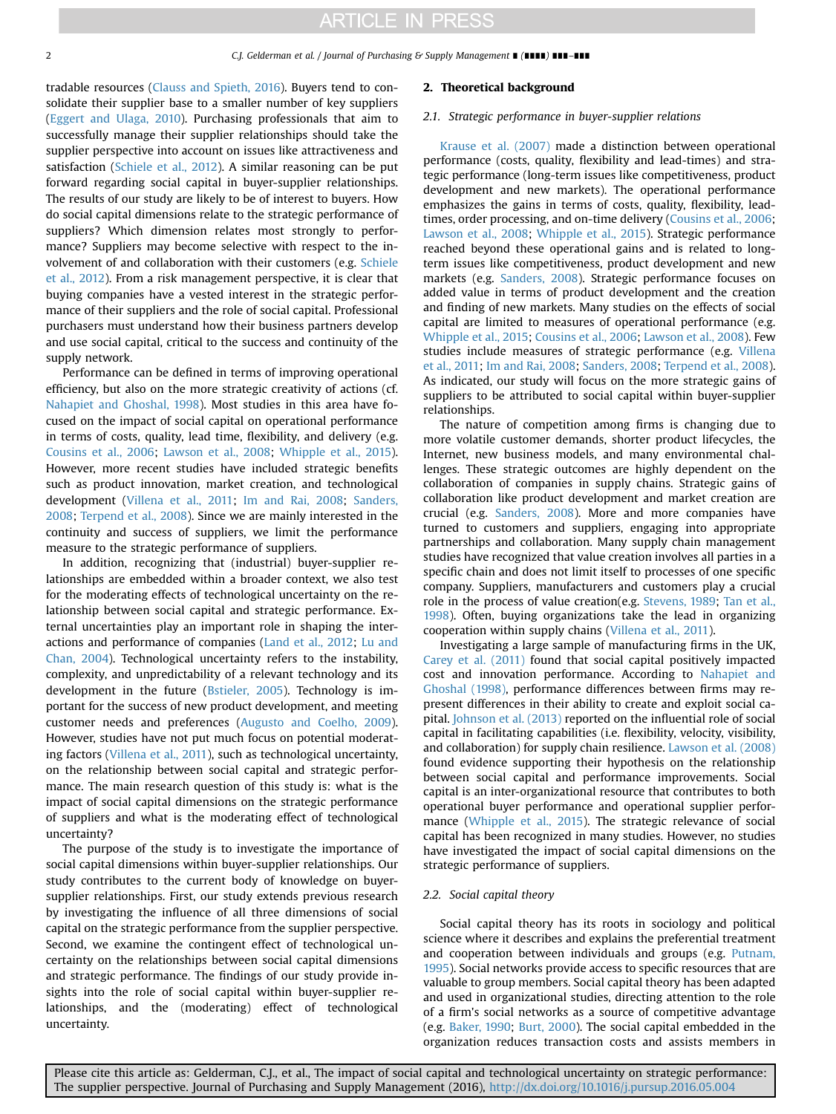#### 2 C.J. Gelderman et al. / Journal of Purchasing & Supply Management ∎ (∎∎∎∎) ∎∎∎–∎∎∎

tradable resources ([Clauss and Spieth, 2016\)](#page-8-0). Buyers tend to consolidate their supplier base to a smaller number of key suppliers ([Eggert and Ulaga, 2010\)](#page-8-0). Purchasing professionals that aim to successfully manage their supplier relationships should take the supplier perspective into account on issues like attractiveness and satisfaction ([Schiele et al., 2012\)](#page-8-0). A similar reasoning can be put forward regarding social capital in buyer-supplier relationships. The results of our study are likely to be of interest to buyers. How do social capital dimensions relate to the strategic performance of suppliers? Which dimension relates most strongly to performance? Suppliers may become selective with respect to the involvement of and collaboration with their customers (e.g. [Schiele](#page-8-0) [et al., 2012\)](#page-8-0). From a risk management perspective, it is clear that buying companies have a vested interest in the strategic performance of their suppliers and the role of social capital. Professional purchasers must understand how their business partners develop and use social capital, critical to the success and continuity of the supply network.

Performance can be defined in terms of improving operational efficiency, but also on the more strategic creativity of actions (cf. [Nahapiet and Ghoshal, 1998](#page-8-0)). Most studies in this area have focused on the impact of social capital on operational performance in terms of costs, quality, lead time, flexibility, and delivery (e.g. [Cousins et al., 2006;](#page-8-0) [Lawson et al., 2008;](#page-8-0) [Whipple et al., 2015\)](#page-9-0). However, more recent studies have included strategic benefits such as product innovation, market creation, and technological development [\(Villena et al., 2011](#page-9-0); [Im and Rai, 2008;](#page-8-0) [Sanders,](#page-8-0) [2008;](#page-8-0) [Terpend et al., 2008](#page-8-0)). Since we are mainly interested in the continuity and success of suppliers, we limit the performance measure to the strategic performance of suppliers.

In addition, recognizing that (industrial) buyer-supplier relationships are embedded within a broader context, we also test for the moderating effects of technological uncertainty on the relationship between social capital and strategic performance. External uncertainties play an important role in shaping the interactions and performance of companies [\(Land et al., 2012;](#page-8-0) [Lu and](#page-8-0) [Chan, 2004](#page-8-0)). Technological uncertainty refers to the instability, complexity, and unpredictability of a relevant technology and its development in the future ([Bstieler, 2005\)](#page-8-0). Technology is important for the success of new product development, and meeting customer needs and preferences ([Augusto and Coelho, 2009\)](#page-8-0). However, studies have not put much focus on potential moderating factors [\(Villena et al., 2011\)](#page-9-0), such as technological uncertainty, on the relationship between social capital and strategic performance. The main research question of this study is: what is the impact of social capital dimensions on the strategic performance of suppliers and what is the moderating effect of technological uncertainty?

The purpose of the study is to investigate the importance of social capital dimensions within buyer-supplier relationships. Our study contributes to the current body of knowledge on buyersupplier relationships. First, our study extends previous research by investigating the influence of all three dimensions of social capital on the strategic performance from the supplier perspective. Second, we examine the contingent effect of technological uncertainty on the relationships between social capital dimensions and strategic performance. The findings of our study provide insights into the role of social capital within buyer-supplier relationships, and the (moderating) effect of technological uncertainty.

#### 2. Theoretical background

#### 2.1. Strategic performance in buyer-supplier relations

[Krause et al. \(2007\)](#page-8-0) made a distinction between operational performance (costs, quality, flexibility and lead-times) and strategic performance (long-term issues like competitiveness, product development and new markets). The operational performance emphasizes the gains in terms of costs, quality, flexibility, leadtimes, order processing, and on-time delivery ([Cousins et al., 2006;](#page-8-0) [Lawson et al., 2008](#page-8-0); [Whipple et al., 2015\)](#page-9-0). Strategic performance reached beyond these operational gains and is related to longterm issues like competitiveness, product development and new markets (e.g. [Sanders, 2008\)](#page-8-0). Strategic performance focuses on added value in terms of product development and the creation and finding of new markets. Many studies on the effects of social capital are limited to measures of operational performance (e.g. [Whipple et al., 2015](#page-9-0); [Cousins et al., 2006;](#page-8-0) [Lawson et al., 2008](#page-8-0)). Few studies include measures of strategic performance (e.g. [Villena](#page-9-0) [et al., 2011;](#page-9-0) [Im and Rai, 2008](#page-8-0); [Sanders, 2008](#page-8-0); [Terpend et al., 2008\)](#page-8-0). As indicated, our study will focus on the more strategic gains of suppliers to be attributed to social capital within buyer-supplier relationships.

The nature of competition among firms is changing due to more volatile customer demands, shorter product lifecycles, the Internet, new business models, and many environmental challenges. These strategic outcomes are highly dependent on the collaboration of companies in supply chains. Strategic gains of collaboration like product development and market creation are crucial (e.g. [Sanders, 2008](#page-8-0)). More and more companies have turned to customers and suppliers, engaging into appropriate partnerships and collaboration. Many supply chain management studies have recognized that value creation involves all parties in a specific chain and does not limit itself to processes of one specific company. Suppliers, manufacturers and customers play a crucial role in the process of value creation(e.g. [Stevens, 1989](#page-8-0); [Tan et al.,](#page-8-0) [1998](#page-8-0)). Often, buying organizations take the lead in organizing cooperation within supply chains ([Villena et al., 2011](#page-9-0)).

Investigating a large sample of manufacturing firms in the UK, [Carey et al. \(2011\)](#page-8-0) found that social capital positively impacted cost and innovation performance. According to [Nahapiet and](#page-8-0) [Ghoshal \(1998\)](#page-8-0), performance differences between firms may represent differences in their ability to create and exploit social capital. [Johnson et al. \(2013\)](#page-8-0) reported on the influential role of social capital in facilitating capabilities (i.e. flexibility, velocity, visibility, and collaboration) for supply chain resilience. [Lawson et al. \(2008\)](#page-8-0) found evidence supporting their hypothesis on the relationship between social capital and performance improvements. Social capital is an inter-organizational resource that contributes to both operational buyer performance and operational supplier performance [\(Whipple et al., 2015\)](#page-9-0). The strategic relevance of social capital has been recognized in many studies. However, no studies have investigated the impact of social capital dimensions on the strategic performance of suppliers.

### 2.2. Social capital theory

Social capital theory has its roots in sociology and political science where it describes and explains the preferential treatment and cooperation between individuals and groups (e.g. [Putnam,](#page-8-0) [1995](#page-8-0)). Social networks provide access to specific resources that are valuable to group members. Social capital theory has been adapted and used in organizational studies, directing attention to the role of a firm's social networks as a source of competitive advantage (e.g. [Baker, 1990;](#page-8-0) [Burt, 2000](#page-8-0)). The social capital embedded in the organization reduces transaction costs and assists members in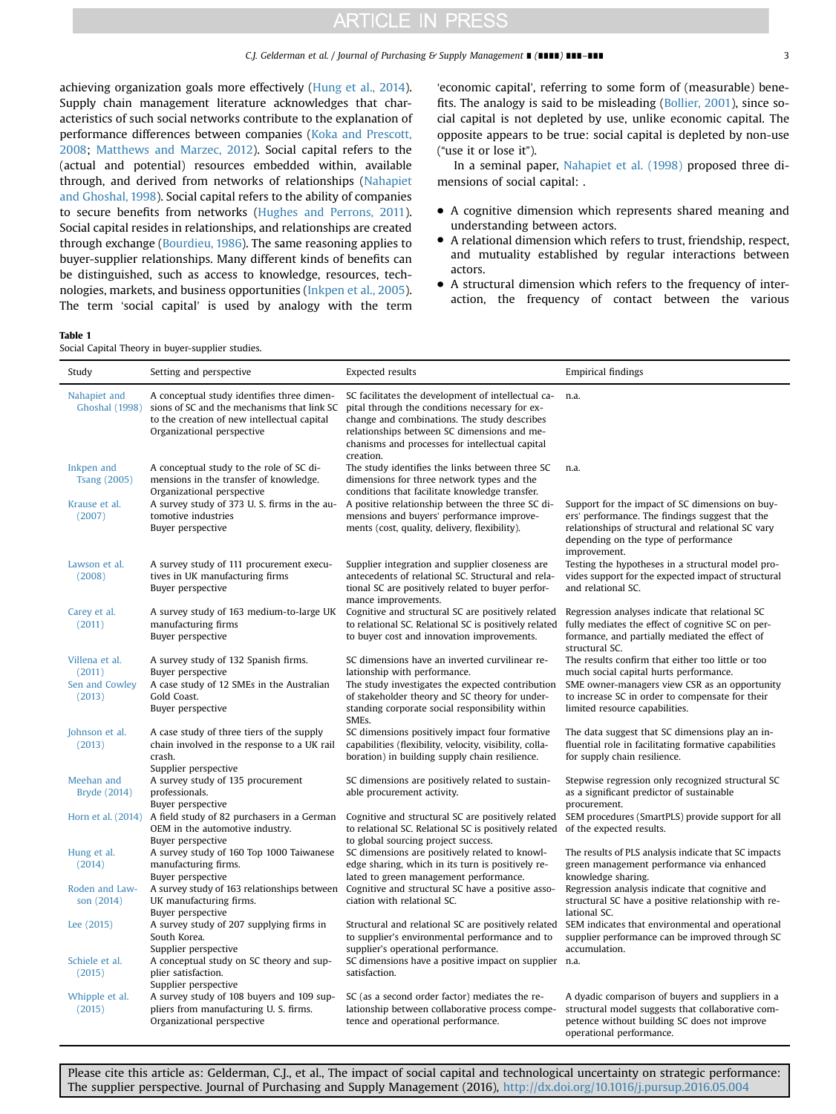<span id="page-2-0"></span>achieving organization goals more effectively ([Hung et al., 2014\)](#page-8-0). Supply chain management literature acknowledges that characteristics of such social networks contribute to the explanation of performance differences between companies ([Koka and Prescott,](#page-8-0) [2008;](#page-8-0) [Matthews and Marzec, 2012](#page-8-0)). Social capital refers to the (actual and potential) resources embedded within, available through, and derived from networks of relationships [\(Nahapiet](#page-8-0) [and Ghoshal, 1998](#page-8-0)). Social capital refers to the ability of companies to secure benefits from networks ([Hughes and Perrons, 2011\)](#page-8-0). Social capital resides in relationships, and relationships are created through exchange ([Bourdieu, 1986](#page-8-0)). The same reasoning applies to buyer-supplier relationships. Many different kinds of benefits can be distinguished, such as access to knowledge, resources, technologies, markets, and business opportunities [\(Inkpen et al., 2005\)](#page-8-0). The term 'social capital' is used by analogy with the term 'economic capital', referring to some form of (measurable) benefits. The analogy is said to be misleading [\(Bollier, 2001](#page-8-0)), since social capital is not depleted by use, unlike economic capital. The opposite appears to be true: social capital is depleted by non-use ("use it or lose it").

In a seminal paper, [Nahapiet et al. \(1998\)](#page-8-0) proposed three dimensions of social capital: .

- A cognitive dimension which represents shared meaning and understanding between actors.
- A relational dimension which refers to trust, friendship, respect, and mutuality established by regular interactions between actors.
- A structural dimension which refers to the frequency of interaction, the frequency of contact between the various

Social Capital Theory in buyer-supplier studies.

| Study                                                | Setting and perspective                                                                                                                                                | <b>Expected results</b>                                                                                                                                                                                                                                             | <b>Empirical findings</b>                                                                                                                                                                                                         |
|------------------------------------------------------|------------------------------------------------------------------------------------------------------------------------------------------------------------------------|---------------------------------------------------------------------------------------------------------------------------------------------------------------------------------------------------------------------------------------------------------------------|-----------------------------------------------------------------------------------------------------------------------------------------------------------------------------------------------------------------------------------|
| Nahapiet and<br><b>Ghoshal</b> (1998)                | A conceptual study identifies three dimen-<br>sions of SC and the mechanisms that link SC<br>to the creation of new intellectual capital<br>Organizational perspective | SC facilitates the development of intellectual ca-<br>pital through the conditions necessary for ex-<br>change and combinations. The study describes<br>relationships between SC dimensions and me-<br>chanisms and processes for intellectual capital<br>creation. | n.a.                                                                                                                                                                                                                              |
| Inkpen and<br><b>Tsang (2005)</b>                    | A conceptual study to the role of SC di-<br>mensions in the transfer of knowledge.<br>Organizational perspective                                                       | The study identifies the links between three SC<br>dimensions for three network types and the<br>conditions that facilitate knowledge transfer.                                                                                                                     | n.a.                                                                                                                                                                                                                              |
| Krause et al.<br>(2007)                              | A survey study of 373 U.S. firms in the au-<br>tomotive industries<br>Buyer perspective                                                                                | A positive relationship between the three SC di-<br>mensions and buyers' performance improve-<br>ments (cost, quality, delivery, flexibility).                                                                                                                      | Support for the impact of SC dimensions on buy-<br>ers' performance. The findings suggest that the<br>relationships of structural and relational SC vary<br>depending on the type of performance<br>improvement.                  |
| Lawson et al.<br>(2008)                              | A survey study of 111 procurement execu-<br>tives in UK manufacturing firms<br>Buyer perspective                                                                       | Supplier integration and supplier closeness are<br>antecedents of relational SC. Structural and rela-<br>tional SC are positively related to buyer perfor-<br>mance improvements.                                                                                   | Testing the hypotheses in a structural model pro-<br>vides support for the expected impact of structural<br>and relational SC.                                                                                                    |
| Carey et al.<br>(2011)                               | A survey study of 163 medium-to-large UK<br>manufacturing firms<br>Buyer perspective                                                                                   | Cognitive and structural SC are positively related<br>to relational SC. Relational SC is positively related<br>to buyer cost and innovation improvements.                                                                                                           | Regression analyses indicate that relational SC<br>fully mediates the effect of cognitive SC on per-<br>formance, and partially mediated the effect of<br>structural SC.                                                          |
| Villena et al.<br>(2011)<br>Sen and Cowley<br>(2013) | A survey study of 132 Spanish firms.<br>Buyer perspective<br>A case study of 12 SMEs in the Australian<br>Gold Coast.<br>Buyer perspective                             | SC dimensions have an inverted curvilinear re-<br>lationship with performance.<br>The study investigates the expected contribution<br>of stakeholder theory and SC theory for under-<br>standing corporate social responsibility within<br>SMEs.                    | The results confirm that either too little or too<br>much social capital hurts performance.<br>SME owner-managers view CSR as an opportunity<br>to increase SC in order to compensate for their<br>limited resource capabilities. |
| Johnson et al.<br>(2013)                             | A case study of three tiers of the supply<br>chain involved in the response to a UK rail<br>crash.<br>Supplier perspective                                             | SC dimensions positively impact four formative<br>capabilities (flexibility, velocity, visibility, colla-<br>boration) in building supply chain resilience.                                                                                                         | The data suggest that SC dimensions play an in-<br>fluential role in facilitating formative capabilities<br>for supply chain resilience.                                                                                          |
| Meehan and<br>Bryde (2014)                           | A survey study of 135 procurement<br>professionals.<br>Buyer perspective                                                                                               | SC dimensions are positively related to sustain-<br>able procurement activity.                                                                                                                                                                                      | Stepwise regression only recognized structural SC<br>as a significant predictor of sustainable<br>procurement.                                                                                                                    |
| Horn et al. (2014)                                   | A field study of 82 purchasers in a German<br>OEM in the automotive industry.<br>Buyer perspective                                                                     | Cognitive and structural SC are positively related<br>to relational SC. Relational SC is positively related<br>to global sourcing project success.                                                                                                                  | SEM procedures (SmartPLS) provide support for all<br>of the expected results.                                                                                                                                                     |
| Hung et al.<br>(2014)                                | A survey study of 160 Top 1000 Taiwanese<br>manufacturing firms.<br>Buyer perspective                                                                                  | SC dimensions are positively related to knowl-<br>edge sharing, which in its turn is positively re-<br>lated to green management performance.                                                                                                                       | The results of PLS analysis indicate that SC impacts<br>green management performance via enhanced<br>knowledge sharing.                                                                                                           |
| Roden and Law-<br>son (2014)                         | UK manufacturing firms.<br>Buyer perspective                                                                                                                           | A survey study of 163 relationships between Cognitive and structural SC have a positive asso-<br>ciation with relational SC.                                                                                                                                        | Regression analysis indicate that cognitive and<br>structural SC have a positive relationship with re-<br>lational SC.                                                                                                            |
| Lee (2015)                                           | A survey study of 207 supplying firms in<br>South Korea.<br>Supplier perspective                                                                                       | Structural and relational SC are positively related<br>to supplier's environmental performance and to<br>supplier's operational performance.                                                                                                                        | SEM indicates that environmental and operational<br>supplier performance can be improved through SC<br>accumulation.                                                                                                              |
| Schiele et al.<br>(2015)                             | A conceptual study on SC theory and sup-<br>plier satisfaction.<br>Supplier perspective                                                                                | SC dimensions have a positive impact on supplier n.a.<br>satisfaction.                                                                                                                                                                                              |                                                                                                                                                                                                                                   |
| Whipple et al.<br>(2015)                             | A survey study of 108 buyers and 109 sup-<br>pliers from manufacturing U.S. firms.<br>Organizational perspective                                                       | SC (as a second order factor) mediates the re-<br>lationship between collaborative process compe-<br>tence and operational performance.                                                                                                                             | A dyadic comparison of buyers and suppliers in a<br>structural model suggests that collaborative com-<br>petence without building SC does not improve<br>operational performance.                                                 |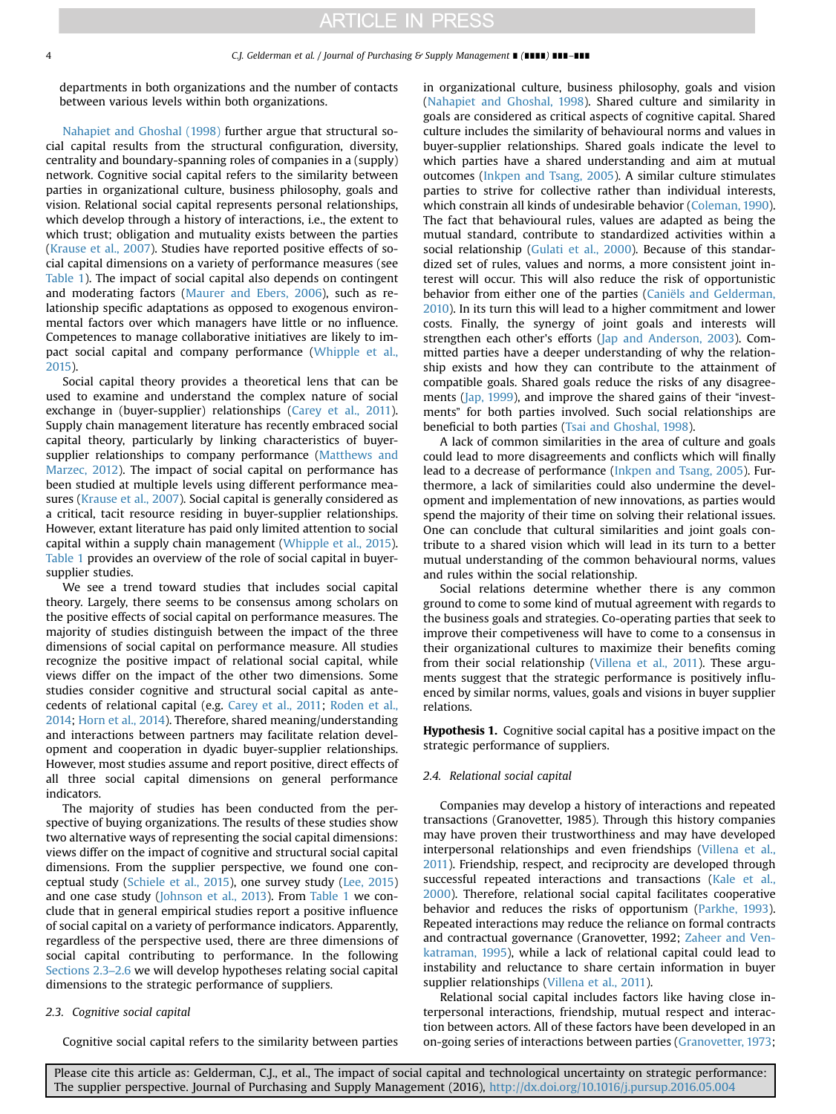departments in both organizations and the number of contacts between various levels within both organizations.

[Nahapiet and Ghoshal \(1998\)](#page-8-0) further argue that structural social capital results from the structural configuration, diversity, centrality and boundary-spanning roles of companies in a (supply) network. Cognitive social capital refers to the similarity between parties in organizational culture, business philosophy, goals and vision. Relational social capital represents personal relationships, which develop through a history of interactions, i.e., the extent to which trust; obligation and mutuality exists between the parties ([Krause et al., 2007](#page-8-0)). Studies have reported positive effects of social capital dimensions on a variety of performance measures (see [Table 1](#page-2-0)). The impact of social capital also depends on contingent and moderating factors [\(Maurer and Ebers, 2006](#page-8-0)), such as relationship specific adaptations as opposed to exogenous environmental factors over which managers have little or no influence. Competences to manage collaborative initiatives are likely to impact social capital and company performance ([Whipple et al.,](#page-9-0) [2015\)](#page-9-0).

Social capital theory provides a theoretical lens that can be used to examine and understand the complex nature of social exchange in (buyer-supplier) relationships [\(Carey et al., 2011\)](#page-8-0). Supply chain management literature has recently embraced social capital theory, particularly by linking characteristics of buyersupplier relationships to company performance ([Matthews and](#page-8-0) [Marzec, 2012](#page-8-0)). The impact of social capital on performance has been studied at multiple levels using different performance measures ([Krause et al., 2007\)](#page-8-0). Social capital is generally considered as a critical, tacit resource residing in buyer-supplier relationships. However, extant literature has paid only limited attention to social capital within a supply chain management ([Whipple et al., 2015\)](#page-9-0). [Table 1](#page-2-0) provides an overview of the role of social capital in buyersupplier studies.

We see a trend toward studies that includes social capital theory. Largely, there seems to be consensus among scholars on the positive effects of social capital on performance measures. The majority of studies distinguish between the impact of the three dimensions of social capital on performance measure. All studies recognize the positive impact of relational social capital, while views differ on the impact of the other two dimensions. Some studies consider cognitive and structural social capital as antecedents of relational capital (e.g. [Carey et al., 2011](#page-8-0); [Roden et al.,](#page-8-0) [2014;](#page-8-0) [Horn et al., 2014\)](#page-8-0). Therefore, shared meaning/understanding and interactions between partners may facilitate relation development and cooperation in dyadic buyer-supplier relationships. However, most studies assume and report positive, direct effects of all three social capital dimensions on general performance indicators.

The majority of studies has been conducted from the perspective of buying organizations. The results of these studies show two alternative ways of representing the social capital dimensions: views differ on the impact of cognitive and structural social capital dimensions. From the supplier perspective, we found one conceptual study ([Schiele et al., 2015\)](#page-8-0), one survey study ([Lee, 2015\)](#page-8-0) and one case study ([Johnson et al., 2013](#page-8-0)). From [Table 1](#page-2-0) we conclude that in general empirical studies report a positive influence of social capital on a variety of performance indicators. Apparently, regardless of the perspective used, there are three dimensions of social capital contributing to performance. In the following Sections 2.3–2.6 we will develop hypotheses relating social capital dimensions to the strategic performance of suppliers.

#### 2.3. Cognitive social capital

Cognitive social capital refers to the similarity between parties

in organizational culture, business philosophy, goals and vision ([Nahapiet and Ghoshal, 1998](#page-8-0)). Shared culture and similarity in goals are considered as critical aspects of cognitive capital. Shared culture includes the similarity of behavioural norms and values in buyer-supplier relationships. Shared goals indicate the level to which parties have a shared understanding and aim at mutual outcomes ([Inkpen and Tsang, 2005\)](#page-8-0). A similar culture stimulates parties to strive for collective rather than individual interests, which constrain all kinds of undesirable behavior ([Coleman, 1990\)](#page-8-0). The fact that behavioural rules, values are adapted as being the mutual standard, contribute to standardized activities within a social relationship ([Gulati et al., 2000\)](#page-8-0). Because of this standardized set of rules, values and norms, a more consistent joint interest will occur. This will also reduce the risk of opportunistic behavior from either one of the parties [\(Caniëls and Gelderman,](#page-8-0) [2010\)](#page-8-0). In its turn this will lead to a higher commitment and lower costs. Finally, the synergy of joint goals and interests will strengthen each other's efforts ([Jap and Anderson, 2003](#page-8-0)). Committed parties have a deeper understanding of why the relationship exists and how they can contribute to the attainment of compatible goals. Shared goals reduce the risks of any disagreements [\(Jap, 1999\)](#page-8-0), and improve the shared gains of their "investments" for both parties involved. Such social relationships are beneficial to both parties [\(Tsai and Ghoshal, 1998\)](#page-9-0).

A lack of common similarities in the area of culture and goals could lead to more disagreements and conflicts which will finally lead to a decrease of performance [\(Inkpen and Tsang, 2005\)](#page-8-0). Furthermore, a lack of similarities could also undermine the development and implementation of new innovations, as parties would spend the majority of their time on solving their relational issues. One can conclude that cultural similarities and joint goals contribute to a shared vision which will lead in its turn to a better mutual understanding of the common behavioural norms, values and rules within the social relationship.

Social relations determine whether there is any common ground to come to some kind of mutual agreement with regards to the business goals and strategies. Co-operating parties that seek to improve their competiveness will have to come to a consensus in their organizational cultures to maximize their benefits coming from their social relationship ([Villena et al., 2011\)](#page-9-0). These arguments suggest that the strategic performance is positively influenced by similar norms, values, goals and visions in buyer supplier relations.

Hypothesis 1. Cognitive social capital has a positive impact on the strategic performance of suppliers.

## 2.4. Relational social capital

Companies may develop a history of interactions and repeated transactions (Granovetter, 1985). Through this history companies may have proven their trustworthiness and may have developed interpersonal relationships and even friendships [\(Villena et al.,](#page-9-0) [2011\)](#page-9-0). Friendship, respect, and reciprocity are developed through successful repeated interactions and transactions ([Kale et al.,](#page-8-0) [2000](#page-8-0)). Therefore, relational social capital facilitates cooperative behavior and reduces the risks of opportunism ([Parkhe, 1993\)](#page-8-0). Repeated interactions may reduce the reliance on formal contracts and contractual governance (Granovetter, 1992; [Zaheer and Ven](#page-9-0)[katraman, 1995](#page-9-0)), while a lack of relational capital could lead to instability and reluctance to share certain information in buyer supplier relationships [\(Villena et al., 2011](#page-9-0)).

Relational social capital includes factors like having close interpersonal interactions, friendship, mutual respect and interaction between actors. All of these factors have been developed in an on-going series of interactions between parties ([Granovetter, 1973;](#page-8-0)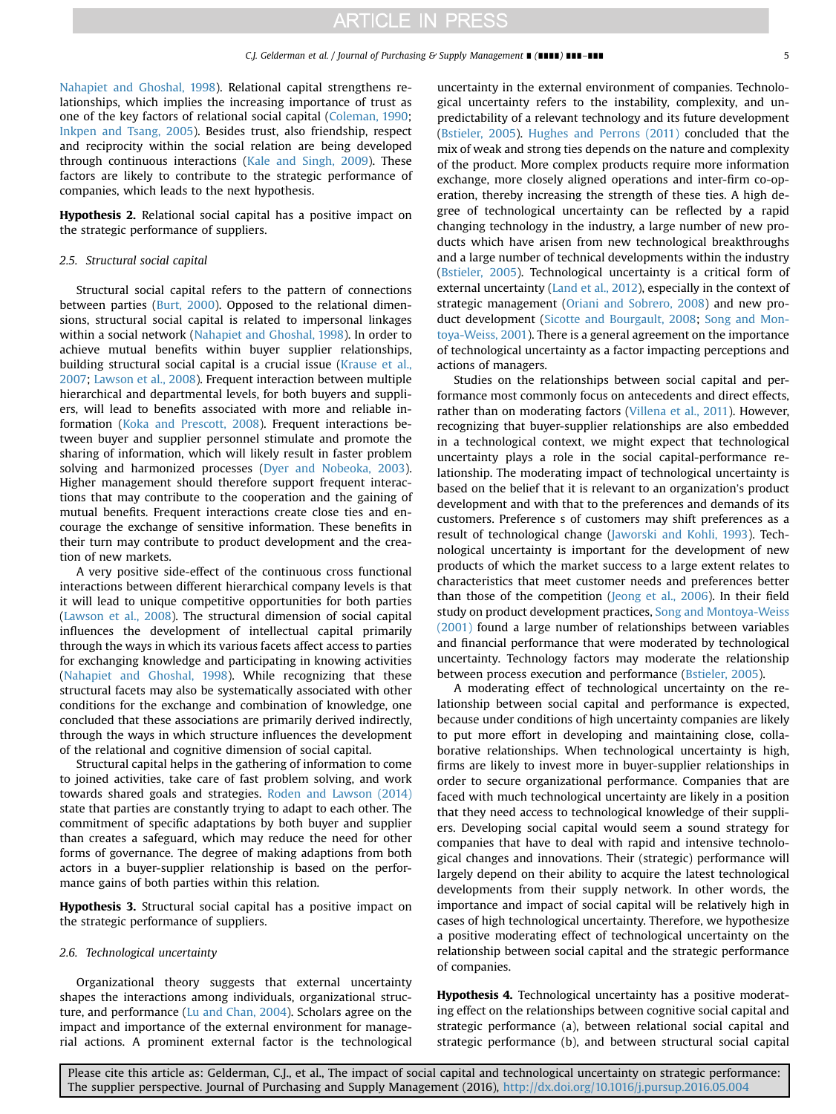<span id="page-4-0"></span>[Nahapiet and Ghoshal, 1998\)](#page-8-0). Relational capital strengthens relationships, which implies the increasing importance of trust as one of the key factors of relational social capital ([Coleman, 1990;](#page-8-0) [Inkpen and Tsang, 2005\)](#page-8-0). Besides trust, also friendship, respect and reciprocity within the social relation are being developed through continuous interactions [\(Kale and Singh, 2009](#page-8-0)). These factors are likely to contribute to the strategic performance of companies, which leads to the next hypothesis.

Hypothesis 2. Relational social capital has a positive impact on the strategic performance of suppliers.

## 2.5. Structural social capital

Structural social capital refers to the pattern of connections between parties ([Burt, 2000](#page-8-0)). Opposed to the relational dimensions, structural social capital is related to impersonal linkages within a social network [\(Nahapiet and Ghoshal, 1998](#page-8-0)). In order to achieve mutual benefits within buyer supplier relationships, building structural social capital is a crucial issue ([Krause et al.,](#page-8-0) [2007;](#page-8-0) [Lawson et al., 2008\)](#page-8-0). Frequent interaction between multiple hierarchical and departmental levels, for both buyers and suppliers, will lead to benefits associated with more and reliable information ([Koka and Prescott, 2008\)](#page-8-0). Frequent interactions between buyer and supplier personnel stimulate and promote the sharing of information, which will likely result in faster problem solving and harmonized processes ([Dyer and Nobeoka, 2003\)](#page-8-0). Higher management should therefore support frequent interactions that may contribute to the cooperation and the gaining of mutual benefits. Frequent interactions create close ties and encourage the exchange of sensitive information. These benefits in their turn may contribute to product development and the creation of new markets.

A very positive side-effect of the continuous cross functional interactions between different hierarchical company levels is that it will lead to unique competitive opportunities for both parties ([Lawson et al., 2008](#page-8-0)). The structural dimension of social capital influences the development of intellectual capital primarily through the ways in which its various facets affect access to parties for exchanging knowledge and participating in knowing activities ([Nahapiet and Ghoshal, 1998](#page-8-0)). While recognizing that these structural facets may also be systematically associated with other conditions for the exchange and combination of knowledge, one concluded that these associations are primarily derived indirectly, through the ways in which structure influences the development of the relational and cognitive dimension of social capital.

Structural capital helps in the gathering of information to come to joined activities, take care of fast problem solving, and work towards shared goals and strategies. [Roden and Lawson \(2014\)](#page-8-0) state that parties are constantly trying to adapt to each other. The commitment of specific adaptations by both buyer and supplier than creates a safeguard, which may reduce the need for other forms of governance. The degree of making adaptions from both actors in a buyer-supplier relationship is based on the performance gains of both parties within this relation.

Hypothesis 3. Structural social capital has a positive impact on the strategic performance of suppliers.

### 2.6. Technological uncertainty

Organizational theory suggests that external uncertainty shapes the interactions among individuals, organizational structure, and performance [\(Lu and Chan, 2004](#page-8-0)). Scholars agree on the impact and importance of the external environment for managerial actions. A prominent external factor is the technological uncertainty in the external environment of companies. Technological uncertainty refers to the instability, complexity, and unpredictability of a relevant technology and its future development ([Bstieler, 2005\)](#page-8-0). [Hughes and Perrons \(2011\)](#page-8-0) concluded that the mix of weak and strong ties depends on the nature and complexity of the product. More complex products require more information exchange, more closely aligned operations and inter-firm co-operation, thereby increasing the strength of these ties. A high degree of technological uncertainty can be reflected by a rapid changing technology in the industry, a large number of new products which have arisen from new technological breakthroughs and a large number of technical developments within the industry ([Bstieler, 2005](#page-8-0)). Technological uncertainty is a critical form of external uncertainty ([Land et al., 2012\)](#page-8-0), especially in the context of strategic management ([Oriani and Sobrero, 2008](#page-8-0)) and new product development [\(Sicotte and Bourgault, 2008](#page-8-0); [Song and Mon](#page-8-0)[toya-Weiss, 2001\)](#page-8-0). There is a general agreement on the importance of technological uncertainty as a factor impacting perceptions and actions of managers.

Studies on the relationships between social capital and performance most commonly focus on antecedents and direct effects, rather than on moderating factors ([Villena et al., 2011](#page-9-0)). However, recognizing that buyer-supplier relationships are also embedded in a technological context, we might expect that technological uncertainty plays a role in the social capital-performance relationship. The moderating impact of technological uncertainty is based on the belief that it is relevant to an organization's product development and with that to the preferences and demands of its customers. Preference s of customers may shift preferences as a result of technological change ([Jaworski and Kohli, 1993](#page-8-0)). Technological uncertainty is important for the development of new products of which the market success to a large extent relates to characteristics that meet customer needs and preferences better than those of the competition ([Jeong et al., 2006\)](#page-8-0). In their field study on product development practices, [Song and Montoya-Weiss](#page-8-0) [\(2001\)](#page-8-0) found a large number of relationships between variables and financial performance that were moderated by technological uncertainty. Technology factors may moderate the relationship between process execution and performance ([Bstieler, 2005\)](#page-8-0).

A moderating effect of technological uncertainty on the relationship between social capital and performance is expected, because under conditions of high uncertainty companies are likely to put more effort in developing and maintaining close, collaborative relationships. When technological uncertainty is high, firms are likely to invest more in buyer-supplier relationships in order to secure organizational performance. Companies that are faced with much technological uncertainty are likely in a position that they need access to technological knowledge of their suppliers. Developing social capital would seem a sound strategy for companies that have to deal with rapid and intensive technological changes and innovations. Their (strategic) performance will largely depend on their ability to acquire the latest technological developments from their supply network. In other words, the importance and impact of social capital will be relatively high in cases of high technological uncertainty. Therefore, we hypothesize a positive moderating effect of technological uncertainty on the relationship between social capital and the strategic performance of companies.

Hypothesis 4. Technological uncertainty has a positive moderating effect on the relationships between cognitive social capital and strategic performance (a), between relational social capital and strategic performance (b), and between structural social capital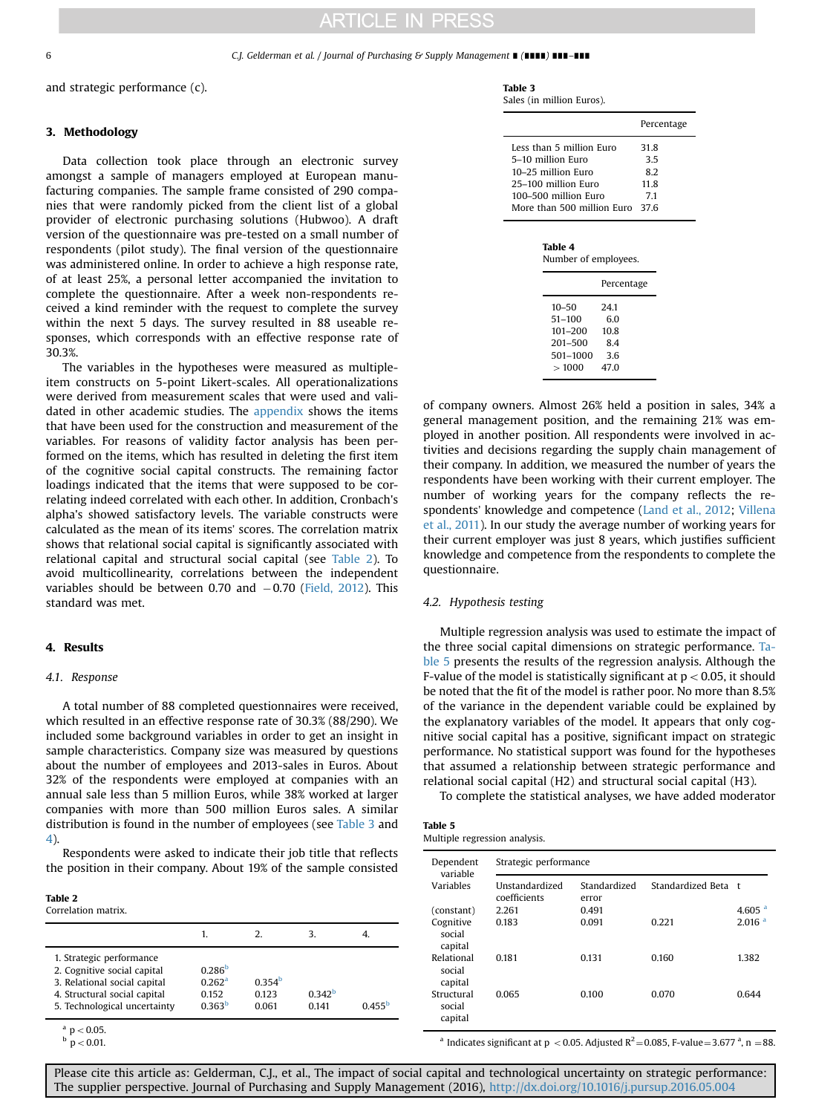#### <span id="page-5-0"></span>6 C.J. Gelderman et al. / Journal of Purchasing & Supply Management ∎ (∎∎∎∎) ∎∎∎–∎∎∎

and strategic performance (c).

## 3. Methodology

Data collection took place through an electronic survey amongst a sample of managers employed at European manufacturing companies. The sample frame consisted of 290 companies that were randomly picked from the client list of a global provider of electronic purchasing solutions (Hubwoo). A draft version of the questionnaire was pre-tested on a small number of respondents (pilot study). The final version of the questionnaire was administered online. In order to achieve a high response rate, of at least 25%, a personal letter accompanied the invitation to complete the questionnaire. After a week non-respondents received a kind reminder with the request to complete the survey within the next 5 days. The survey resulted in 88 useable responses, which corresponds with an effective response rate of 30.3%.

The variables in the hypotheses were measured as multipleitem constructs on 5-point Likert-scales. All operationalizations were derived from measurement scales that were used and validated in other academic studies. The [appendix](#page-8-0) shows the items that have been used for the construction and measurement of the variables. For reasons of validity factor analysis has been performed on the items, which has resulted in deleting the first item of the cognitive social capital constructs. The remaining factor loadings indicated that the items that were supposed to be correlating indeed correlated with each other. In addition, Cronbach's alpha's showed satisfactory levels. The variable constructs were calculated as the mean of its items' scores. The correlation matrix shows that relational social capital is significantly associated with relational capital and structural social capital (see Table 2). To avoid multicollinearity, correlations between the independent variables should be between 0.70 and  $-0.70$  [\(Field, 2012](#page-8-0)). This standard was met.

## 4. Results

## 4.1. Response

A total number of 88 completed questionnaires were received, which resulted in an effective response rate of 30.3% (88/290). We included some background variables in order to get an insight in sample characteristics. Company size was measured by questions about the number of employees and 2013-sales in Euros. About 32% of the respondents were employed at companies with an annual sale less than 5 million Euros, while 38% worked at larger companies with more than 500 million Euros sales. A similar distribution is found in the number of employees (see Table 3 and 4).

Respondents were asked to indicate their job title that reflects the position in their company. About 19% of the sample consisted

| $\sim$<br>. |  |
|-------------|--|
|-------------|--|

| Correlation matrix. |  |
|---------------------|--|
|---------------------|--|

|                                                                                                                                                         |                                                                        |                                      | 3                          |                 |
|---------------------------------------------------------------------------------------------------------------------------------------------------------|------------------------------------------------------------------------|--------------------------------------|----------------------------|-----------------|
| 1. Strategic performance<br>2. Cognitive social capital<br>3. Relational social capital<br>4. Structural social capital<br>5. Technological uncertainty | 0.286 <sup>b</sup><br>0.262 <sup>a</sup><br>0.152<br>0363 <sup>b</sup> | 0.354 <sup>b</sup><br>0.123<br>0.061 | 0.342 <sup>b</sup><br>0141 | $0.455^{\rm b}$ |

 $a$  p  $< 0.05$ .

|  |  |  | 0 O 1 |  |  |
|--|--|--|-------|--|--|
|--|--|--|-------|--|--|

Table 3

|  |  |  | Sales (in million Euros). |  |  |
|--|--|--|---------------------------|--|--|
|--|--|--|---------------------------|--|--|

|                                                                                                                                                       | Percentage                     |
|-------------------------------------------------------------------------------------------------------------------------------------------------------|--------------------------------|
| Less than 5 million Euro<br>5–10 million Euro<br>10–25 million Euro<br>25–100 million Euro<br>100–500 million Euro<br>More than 500 million Furo 37.6 | 31.8<br>35<br>82<br>11.8<br>71 |
|                                                                                                                                                       |                                |

| Table 4 |                      |
|---------|----------------------|
|         | Number of employees. |

|                                                       | Percentage               |
|-------------------------------------------------------|--------------------------|
| $10 - 50$<br>$51 - 100$<br>$101 - 200$<br>$201 - 500$ | 24.1<br>60<br>10.8<br>84 |
| 501-1000                                              | 3.6                      |
| >1000                                                 | 47.0                     |
|                                                       |                          |

of company owners. Almost 26% held a position in sales, 34% a general management position, and the remaining 21% was employed in another position. All respondents were involved in activities and decisions regarding the supply chain management of their company. In addition, we measured the number of years the respondents have been working with their current employer. The number of working years for the company reflects the respondents' knowledge and competence [\(Land et al., 2012;](#page-8-0) [Villena](#page-9-0) [et al., 2011](#page-9-0)). In our study the average number of working years for their current employer was just 8 years, which justifies sufficient knowledge and competence from the respondents to complete the questionnaire.

### 4.2. Hypothesis testing

Multiple regression analysis was used to estimate the impact of the three social capital dimensions on strategic performance. Table 5 presents the results of the regression analysis. Although the F-value of the model is statistically significant at  $p < 0.05$ , it should be noted that the fit of the model is rather poor. No more than 8.5% of the variance in the dependent variable could be explained by the explanatory variables of the model. It appears that only cognitive social capital has a positive, significant impact on strategic performance. No statistical support was found for the hypotheses that assumed a relationship between strategic performance and relational social capital (H2) and structural social capital (H3).

To complete the statistical analyses, we have added moderator

| Table 5 |                               |  |
|---------|-------------------------------|--|
|         | Multiple regression analysis. |  |

| Dependent<br>variable           | Strategic performance          |                       |                     |                      |  |
|---------------------------------|--------------------------------|-----------------------|---------------------|----------------------|--|
| Variables                       | Unstandardized<br>coefficients | Standardized<br>error | Standardized Beta t |                      |  |
| (constant)                      | 2.261                          | 0.491                 |                     | $4.605$ <sup>a</sup> |  |
| Cognitive<br>social<br>capital  | 0.183                          | 0.091                 | 0.221               | 2.016 <sup>a</sup>   |  |
| Relational<br>social<br>capital | 0.181                          | 0.131                 | 0.160               | 1.382                |  |
| Structural<br>social<br>capital | 0.065                          | 0.100                 | 0.070               | 0.644                |  |

<sup>a</sup> Indicates significant at p < 0.05. Adjusted  $R^2$  = 0.085, F-value = 3.677 <sup>a</sup>, n = 88.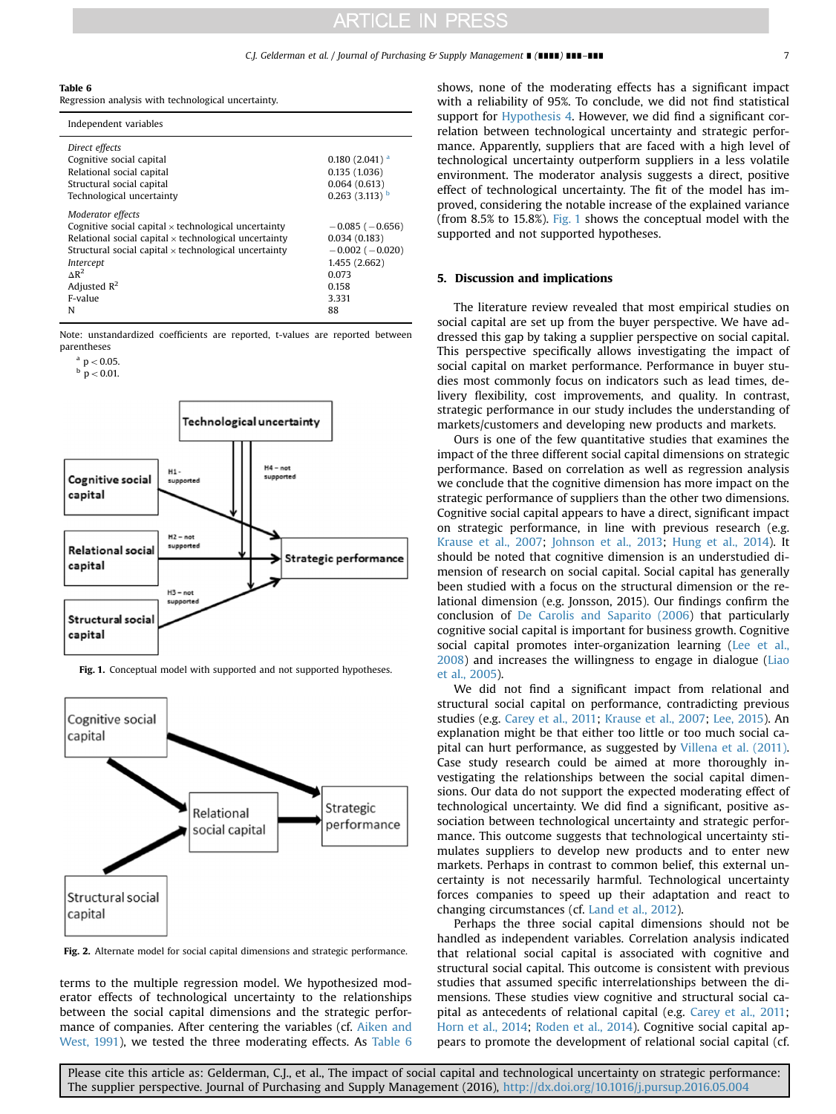## C.J. Gelderman et al. / Journal of Purchasing & Supply Management ∎ (∎∎∎∎) ∎∎∎–∎∎∎ 7

#### <span id="page-6-0"></span>Table 6

Regression analysis with technological uncertainty.

| Independent variables                                                                                                                                                                                                                                                                      |                                                                                                                  |
|--------------------------------------------------------------------------------------------------------------------------------------------------------------------------------------------------------------------------------------------------------------------------------------------|------------------------------------------------------------------------------------------------------------------|
| Direct effects<br>Cognitive social capital<br>Relational social capital<br>Structural social capital<br>Technological uncertainty                                                                                                                                                          | $0.180(2.041)^{a}$<br>0.135(1.036)<br>0.064(0.613)<br>$0.263$ (3.113) $b$                                        |
| Moderator effects<br>Cognitive social capital $\times$ technological uncertainty<br>Relational social capital $\times$ technological uncertainty<br>Structural social capital $\times$ technological uncertainty<br>Intercept<br>$\Delta$ R <sup>2</sup><br>Adjusted $R^2$<br>F-value<br>N | $-0.085$ ( $-0.656$ )<br>0.034(0.183)<br>$-0.002$ ( $-0.020$ )<br>1.455 (2.662)<br>0.073<br>0.158<br>3.331<br>88 |

Note: unstandardized coefficients are reported, t-values are reported between parentheses

 $a$   $p < 0.05$ .

 $\frac{b}{p}$  p  $< 0.01$ .



Fig. 1. Conceptual model with supported and not supported hypotheses.



Fig. 2. Alternate model for social capital dimensions and strategic performance.

terms to the multiple regression model. We hypothesized moderator effects of technological uncertainty to the relationships between the social capital dimensions and the strategic performance of companies. After centering the variables (cf. [Aiken and](#page-8-0) [West, 1991\)](#page-8-0), we tested the three moderating effects. As Table 6 shows, none of the moderating effects has a significant impact with a reliability of 95%. To conclude, we did not find statistical support for [Hypothesis 4](#page-4-0). However, we did find a significant correlation between technological uncertainty and strategic performance. Apparently, suppliers that are faced with a high level of technological uncertainty outperform suppliers in a less volatile environment. The moderator analysis suggests a direct, positive effect of technological uncertainty. The fit of the model has improved, considering the notable increase of the explained variance (from 8.5% to 15.8%). Fig. 1 shows the conceptual model with the supported and not supported hypotheses.

## 5. Discussion and implications

The literature review revealed that most empirical studies on social capital are set up from the buyer perspective. We have addressed this gap by taking a supplier perspective on social capital. This perspective specifically allows investigating the impact of social capital on market performance. Performance in buyer studies most commonly focus on indicators such as lead times, delivery flexibility, cost improvements, and quality. In contrast, strategic performance in our study includes the understanding of markets/customers and developing new products and markets.

Ours is one of the few quantitative studies that examines the impact of the three different social capital dimensions on strategic performance. Based on correlation as well as regression analysis we conclude that the cognitive dimension has more impact on the strategic performance of suppliers than the other two dimensions. Cognitive social capital appears to have a direct, significant impact on strategic performance, in line with previous research (e.g. [Krause et al., 2007;](#page-8-0) [Johnson et al., 2013](#page-8-0); [Hung et al., 2014\)](#page-8-0). It should be noted that cognitive dimension is an understudied dimension of research on social capital. Social capital has generally been studied with a focus on the structural dimension or the relational dimension (e.g. Jonsson, 2015). Our findings confirm the conclusion of [De Carolis and Saparito \(2006](#page-8-0)) that particularly cognitive social capital is important for business growth. Cognitive social capital promotes inter-organization learning ([Lee et al.,](#page-8-0) [2008\)](#page-8-0) and increases the willingness to engage in dialogue [\(Liao](#page-8-0) [et al., 2005](#page-8-0)).

We did not find a significant impact from relational and structural social capital on performance, contradicting previous studies (e.g. [Carey et al., 2011](#page-8-0); [Krause et al., 2007;](#page-8-0) [Lee, 2015](#page-8-0)). An explanation might be that either too little or too much social capital can hurt performance, as suggested by [Villena et al. \(2011\).](#page-9-0) Case study research could be aimed at more thoroughly investigating the relationships between the social capital dimensions. Our data do not support the expected moderating effect of technological uncertainty. We did find a significant, positive association between technological uncertainty and strategic performance. This outcome suggests that technological uncertainty stimulates suppliers to develop new products and to enter new markets. Perhaps in contrast to common belief, this external uncertainty is not necessarily harmful. Technological uncertainty forces companies to speed up their adaptation and react to changing circumstances (cf. [Land et al., 2012](#page-8-0)).

Perhaps the three social capital dimensions should not be handled as independent variables. Correlation analysis indicated that relational social capital is associated with cognitive and structural social capital. This outcome is consistent with previous studies that assumed specific interrelationships between the dimensions. These studies view cognitive and structural social capital as antecedents of relational capital (e.g. [Carey et al., 2011;](#page-8-0) [Horn et al., 2014;](#page-8-0) [Roden et al., 2014\)](#page-8-0). Cognitive social capital appears to promote the development of relational social capital (cf.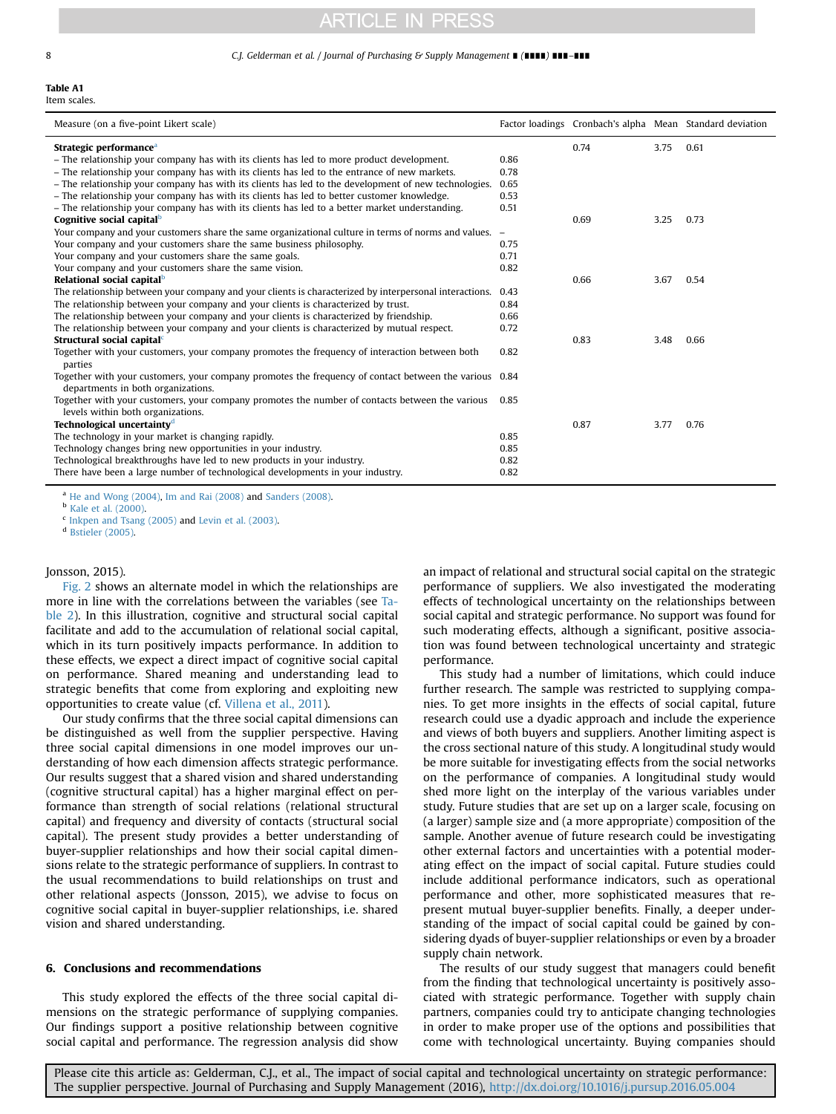#### <span id="page-7-0"></span>8 C.J. Gelderman et al. / Journal of Purchasing & Supply Management **■ (ⅡⅡⅡⅡ ⅡⅡ** ■■■

## Table A1

Item scales.

| Measure (on a five-point Likert scale)                                                                                                      |      |      |      | Factor loadings Cronbach's alpha Mean Standard deviation |
|---------------------------------------------------------------------------------------------------------------------------------------------|------|------|------|----------------------------------------------------------|
| Strategic performance <sup>a</sup>                                                                                                          |      | 0.74 | 3.75 | 0.61                                                     |
| - The relationship your company has with its clients has led to more product development.                                                   | 0.86 |      |      |                                                          |
| - The relationship your company has with its clients has led to the entrance of new markets.                                                | 0.78 |      |      |                                                          |
| - The relationship your company has with its clients has led to the development of new technologies.                                        | 0.65 |      |      |                                                          |
| - The relationship your company has with its clients has led to better customer knowledge.                                                  | 0.53 |      |      |                                                          |
| - The relationship your company has with its clients has led to a better market understanding.                                              | 0.51 |      |      |                                                          |
| Cognitive social capital <sup>b</sup>                                                                                                       |      | 0.69 | 3.25 | 0.73                                                     |
| Your company and your customers share the same organizational culture in terms of norms and values. –                                       |      |      |      |                                                          |
| Your company and your customers share the same business philosophy.                                                                         | 0.75 |      |      |                                                          |
| Your company and your customers share the same goals.                                                                                       | 0.71 |      |      |                                                          |
| Your company and your customers share the same vision.                                                                                      | 0.82 |      |      |                                                          |
| Relational social capital <sup>b</sup>                                                                                                      |      | 0.66 | 3.67 | 0.54                                                     |
| The relationship between your company and your clients is characterized by interpersonal interactions.                                      | 0.43 |      |      |                                                          |
| The relationship between your company and your clients is characterized by trust.                                                           | 0.84 |      |      |                                                          |
| The relationship between your company and your clients is characterized by friendship.                                                      | 0.66 |      |      |                                                          |
| The relationship between your company and your clients is characterized by mutual respect.                                                  | 0.72 |      |      |                                                          |
| Structural social capital <sup>c</sup>                                                                                                      |      | 0.83 | 3.48 | 0.66                                                     |
| Together with your customers, your company promotes the frequency of interaction between both<br>parties                                    | 0.82 |      |      |                                                          |
| Together with your customers, your company promotes the frequency of contact between the various 0.84<br>departments in both organizations. |      |      |      |                                                          |
| Together with your customers, your company promotes the number of contacts between the various<br>levels within both organizations.         | 0.85 |      |      |                                                          |
| Technological uncertainty <sup>d</sup>                                                                                                      |      | 0.87 | 3.77 | 0.76                                                     |
| The technology in your market is changing rapidly.                                                                                          | 0.85 |      |      |                                                          |
| Technology changes bring new opportunities in your industry.                                                                                | 0.85 |      |      |                                                          |
| Technological breakthroughs have led to new products in your industry.                                                                      | 0.82 |      |      |                                                          |
| There have been a large number of technological developments in your industry.                                                              | 0.82 |      |      |                                                          |

<sup>a</sup> [He and Wong \(2004\)](#page-8-0), [Im and Rai \(2008\)](#page-8-0) and [Sanders \(2008\).](#page-8-0)

<sup>b</sup> [Kale et al. \(2000\).](#page-8-0)

 $\frac{c}{c}$  [Inkpen and Tsang \(2005\)](#page-8-0) and [Levin et al. \(2003\).](#page-8-0)

<sup>d</sup> [Bstieler \(2005\)](#page-8-0).

## Jonsson, 2015).

[Fig. 2](#page-6-0) shows an alternate model in which the relationships are more in line with the correlations between the variables (see [Ta](#page-5-0)[ble 2\)](#page-5-0). In this illustration, cognitive and structural social capital facilitate and add to the accumulation of relational social capital, which in its turn positively impacts performance. In addition to these effects, we expect a direct impact of cognitive social capital on performance. Shared meaning and understanding lead to strategic benefits that come from exploring and exploiting new opportunities to create value (cf. [Villena et al., 2011](#page-9-0)).

Our study confirms that the three social capital dimensions can be distinguished as well from the supplier perspective. Having three social capital dimensions in one model improves our understanding of how each dimension affects strategic performance. Our results suggest that a shared vision and shared understanding (cognitive structural capital) has a higher marginal effect on performance than strength of social relations (relational structural capital) and frequency and diversity of contacts (structural social capital). The present study provides a better understanding of buyer-supplier relationships and how their social capital dimensions relate to the strategic performance of suppliers. In contrast to the usual recommendations to build relationships on trust and other relational aspects (Jonsson, 2015), we advise to focus on cognitive social capital in buyer-supplier relationships, i.e. shared vision and shared understanding.

#### 6. Conclusions and recommendations

This study explored the effects of the three social capital dimensions on the strategic performance of supplying companies. Our findings support a positive relationship between cognitive social capital and performance. The regression analysis did show an impact of relational and structural social capital on the strategic performance of suppliers. We also investigated the moderating effects of technological uncertainty on the relationships between social capital and strategic performance. No support was found for such moderating effects, although a significant, positive association was found between technological uncertainty and strategic performance.

This study had a number of limitations, which could induce further research. The sample was restricted to supplying companies. To get more insights in the effects of social capital, future research could use a dyadic approach and include the experience and views of both buyers and suppliers. Another limiting aspect is the cross sectional nature of this study. A longitudinal study would be more suitable for investigating effects from the social networks on the performance of companies. A longitudinal study would shed more light on the interplay of the various variables under study. Future studies that are set up on a larger scale, focusing on (a larger) sample size and (a more appropriate) composition of the sample. Another avenue of future research could be investigating other external factors and uncertainties with a potential moderating effect on the impact of social capital. Future studies could include additional performance indicators, such as operational performance and other, more sophisticated measures that represent mutual buyer-supplier benefits. Finally, a deeper understanding of the impact of social capital could be gained by considering dyads of buyer-supplier relationships or even by a broader supply chain network.

The results of our study suggest that managers could benefit from the finding that technological uncertainty is positively associated with strategic performance. Together with supply chain partners, companies could try to anticipate changing technologies in order to make proper use of the options and possibilities that come with technological uncertainty. Buying companies should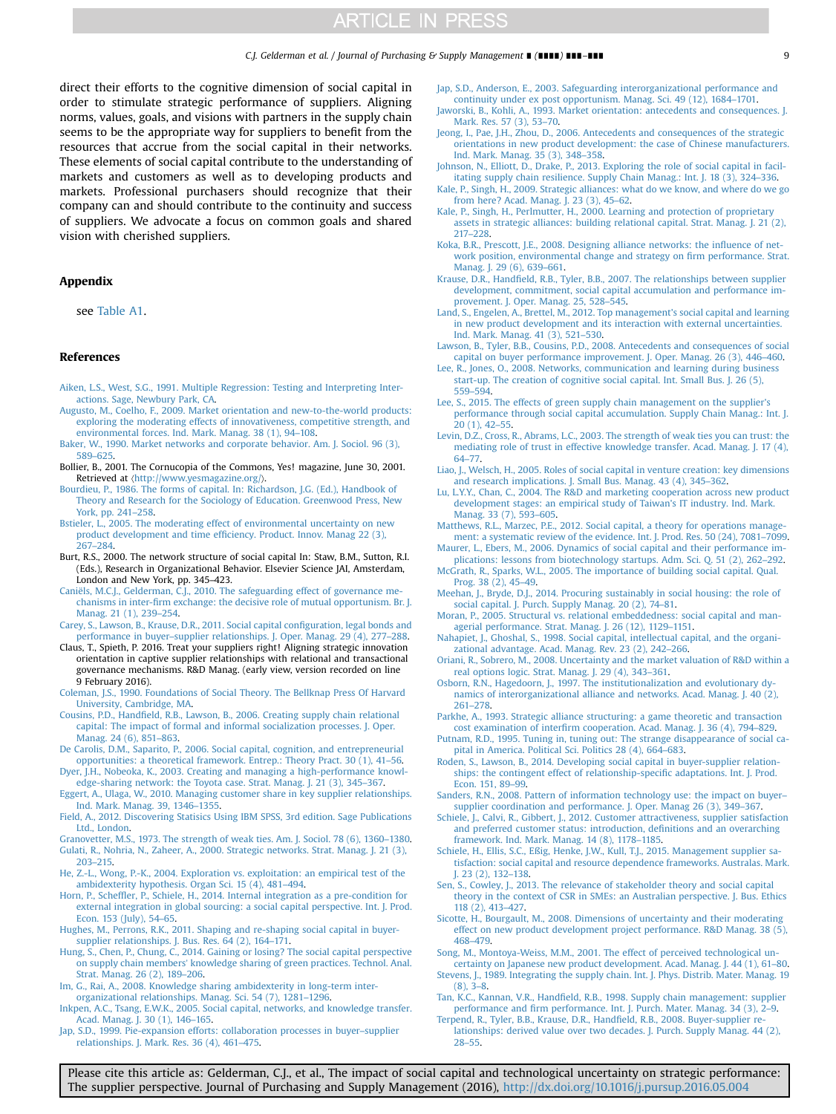<span id="page-8-0"></span>direct their efforts to the cognitive dimension of social capital in order to stimulate strategic performance of suppliers. Aligning norms, values, goals, and visions with partners in the supply chain seems to be the appropriate way for suppliers to benefit from the resources that accrue from the social capital in their networks. These elements of social capital contribute to the understanding of markets and customers as well as to developing products and markets. Professional purchasers should recognize that their company can and should contribute to the continuity and success of suppliers. We advocate a focus on common goals and shared vision with cherished suppliers.

### Appendix

see [Table A1](#page-7-0).

### References

- [Aiken, L.S., West, S.G., 1991. Multiple Regression: Testing and Interpreting Inter](http://refhub.elsevier.com/S1478-4092(16)30024-3/sbref1)[actions. Sage, Newbury Park, CA.](http://refhub.elsevier.com/S1478-4092(16)30024-3/sbref1)
- [Augusto, M., Coelho, F., 2009. Market orientation and new-to-the-world products:](http://refhub.elsevier.com/S1478-4092(16)30024-3/sbref2) [exploring the moderating effects of innovativeness, competitive strength, and](http://refhub.elsevier.com/S1478-4092(16)30024-3/sbref2) [environmental forces. Ind. Mark. Manag. 38 \(1\), 94](http://refhub.elsevier.com/S1478-4092(16)30024-3/sbref2)–108.
- [Baker, W., 1990. Market networks and corporate behavior. Am. J. Sociol. 96 \(3\),](http://refhub.elsevier.com/S1478-4092(16)30024-3/sbref3) [589](http://refhub.elsevier.com/S1478-4092(16)30024-3/sbref3)–[625.](http://refhub.elsevier.com/S1478-4092(16)30024-3/sbref3)
- Bollier, B., 2001. The Cornucopia of the Commons, Yes! magazine, June 30, 2001. Retrieved at 〈<http://www.yesmagazine.org/>〉.
- [Bourdieu, P., 1986. The forms of capital. In: Richardson, J.G. \(Ed.\), Handbook of](http://refhub.elsevier.com/S1478-4092(16)30024-3/sbref4) [Theory and Research for the Sociology of Education. Greenwood Press, New](http://refhub.elsevier.com/S1478-4092(16)30024-3/sbref4) [York, pp. 241](http://refhub.elsevier.com/S1478-4092(16)30024-3/sbref4)–258.
- [Bstieler, L., 2005. The moderating effect of environmental uncertainty on new](http://refhub.elsevier.com/S1478-4092(16)30024-3/sbref5) product development and time effi[ciency. Product. Innov. Manag 22 \(3\),](http://refhub.elsevier.com/S1478-4092(16)30024-3/sbref5) [267](http://refhub.elsevier.com/S1478-4092(16)30024-3/sbref5)–[284.](http://refhub.elsevier.com/S1478-4092(16)30024-3/sbref5)
- Burt, R.S., 2000. The network structure of social capital In: Staw, B.M., Sutton, R.I. (Eds.), Research in Organizational Behavior. Elsevier Science JAI, Amsterdam, London and New York, pp. 345–423.
- [Caniëls, M.C.J., Gelderman, C.J., 2010. The safeguarding effect of governance me](http://refhub.elsevier.com/S1478-4092(16)30024-3/sbref6)chanisms in inter-fi[rm exchange: the decisive role of mutual opportunism. Br. J.](http://refhub.elsevier.com/S1478-4092(16)30024-3/sbref6) [Manag. 21 \(1\), 239](http://refhub.elsevier.com/S1478-4092(16)30024-3/sbref6)–254.
- [Carey, S., Lawson, B., Krause, D.R., 2011. Social capital con](http://refhub.elsevier.com/S1478-4092(16)30024-3/sbref7)figuration, legal bonds and performance in buyer–[supplier relationships. J. Oper. Manag. 29 \(4\), 277](http://refhub.elsevier.com/S1478-4092(16)30024-3/sbref7)–288.
- Claus, T., Spieth, P. 2016. Treat your suppliers right! Aligning strategic innovation orientation in captive supplier relationships with relational and transactional governance mechanisms. R&D Manag. (early view, version recorded on line 9 February 2016).
- [Coleman, J.S., 1990. Foundations of Social Theory. The Bellknap Press Of Harvard](http://refhub.elsevier.com/S1478-4092(16)30024-3/sbref8) [University, Cambridge, MA.](http://refhub.elsevier.com/S1478-4092(16)30024-3/sbref8)
- Cousins, P.D., Handfi[eld, R.B., Lawson, B., 2006. Creating supply chain relational](http://refhub.elsevier.com/S1478-4092(16)30024-3/sbref9) [capital: The impact of formal and informal socialization processes. J. Oper.](http://refhub.elsevier.com/S1478-4092(16)30024-3/sbref9) [Manag. 24 \(6\), 851](http://refhub.elsevier.com/S1478-4092(16)30024-3/sbref9)–863.
- [De Carolis, D.M., Saparito, P., 2006. Social capital, cognition, and entrepreneurial](http://refhub.elsevier.com/S1478-4092(16)30024-3/sbref10) [opportunities: a theoretical framework. Entrep.: Theory Pract. 30 \(1\), 41](http://refhub.elsevier.com/S1478-4092(16)30024-3/sbref10)–56.
- [Dyer, J.H., Nobeoka, K., 2003. Creating and managing a high-performance knowl](http://refhub.elsevier.com/S1478-4092(16)30024-3/sbref11)[edge-sharing network: the Toyota case. Strat. Manag. J. 21 \(3\), 345](http://refhub.elsevier.com/S1478-4092(16)30024-3/sbref11)–367.
- [Eggert, A., Ulaga, W., 2010. Managing customer share in key supplier relationships.](http://refhub.elsevier.com/S1478-4092(16)30024-3/sbref12) [Ind. Mark. Manag. 39, 1346](http://refhub.elsevier.com/S1478-4092(16)30024-3/sbref12)–1355.
- [Field, A., 2012. Discovering Statisics Using IBM SPSS, 3rd edition. Sage Publications](http://refhub.elsevier.com/S1478-4092(16)30024-3/sbref13) [Ltd., London.](http://refhub.elsevier.com/S1478-4092(16)30024-3/sbref13)
- [Granovetter, M.S., 1973. The strength of weak ties. Am. J. Sociol. 78 \(6\), 1360](http://refhub.elsevier.com/S1478-4092(16)30024-3/sbref14)–1380. [Gulati, R., Nohria, N., Zaheer, A., 2000. Strategic networks. Strat. Manag. J. 21 \(3\),](http://refhub.elsevier.com/S1478-4092(16)30024-3/sbref15)
- [203](http://refhub.elsevier.com/S1478-4092(16)30024-3/sbref15)–[215.](http://refhub.elsevier.com/S1478-4092(16)30024-3/sbref15) [He, Z.-L., Wong, P.-K., 2004. Exploration vs. exploitation: an empirical test of the](http://refhub.elsevier.com/S1478-4092(16)30024-3/sbref16)
- [ambidexterity hypothesis. Organ Sci. 15 \(4\), 481](http://refhub.elsevier.com/S1478-4092(16)30024-3/sbref16)–494.
- Horn, P., Scheffl[er, P., Schiele, H., 2014. Internal integration as a pre-condition for](http://refhub.elsevier.com/S1478-4092(16)30024-3/sbref17) [external integration in global sourcing: a social capital perspective. Int. J. Prod.](http://refhub.elsevier.com/S1478-4092(16)30024-3/sbref17) [Econ. 153 \(July\), 54](http://refhub.elsevier.com/S1478-4092(16)30024-3/sbref17)–65.
- [Hughes, M., Perrons, R.K., 2011. Shaping and re-shaping social capital in buyer](http://refhub.elsevier.com/S1478-4092(16)30024-3/sbref18)[supplier relationships. J. Bus. Res. 64 \(2\), 164](http://refhub.elsevier.com/S1478-4092(16)30024-3/sbref18)–171.
- [Hung, S., Chen, P., Chung, C., 2014. Gaining or losing? The social capital perspective](http://refhub.elsevier.com/S1478-4092(16)30024-3/sbref19) on supply chain members' [knowledge sharing of green practices. Technol. Anal.](http://refhub.elsevier.com/S1478-4092(16)30024-3/sbref19) [Strat. Manag. 26 \(2\), 189](http://refhub.elsevier.com/S1478-4092(16)30024-3/sbref19)–206.
- [Im, G., Rai, A., 2008. Knowledge sharing ambidexterity in long-term inter](http://refhub.elsevier.com/S1478-4092(16)30024-3/sbref20)[organizational relationships. Manag. Sci. 54 \(7\), 1281](http://refhub.elsevier.com/S1478-4092(16)30024-3/sbref20)–1296.
- [Inkpen, A.C., Tsang, E.W.K., 2005. Social capital, networks, and knowledge transfer.](http://refhub.elsevier.com/S1478-4092(16)30024-3/sbref21) [Acad. Manag. J. 30 \(1\), 146](http://refhub.elsevier.com/S1478-4092(16)30024-3/sbref21)–165.
- [Jap, S.D., 1999. Pie-expansion efforts: collaboration processes in buyer](http://refhub.elsevier.com/S1478-4092(16)30024-3/sbref22)–supplier [relationships. J. Mark. Res. 36 \(4\), 461](http://refhub.elsevier.com/S1478-4092(16)30024-3/sbref22)–475.
- [Jap, S.D., Anderson, E., 2003. Safeguarding interorganizational performance and](http://refhub.elsevier.com/S1478-4092(16)30024-3/sbref23)
- [continuity under ex post opportunism. Manag. Sci. 49 \(12\), 1684](http://refhub.elsevier.com/S1478-4092(16)30024-3/sbref23)–1701. [Jaworski, B., Kohli, A., 1993. Market orientation: antecedents and consequences. J.](http://refhub.elsevier.com/S1478-4092(16)30024-3/sbref24) [Mark. Res. 57 \(3\), 53](http://refhub.elsevier.com/S1478-4092(16)30024-3/sbref24)–70.
- [Jeong, I., Pae, J.H., Zhou, D., 2006. Antecedents and consequences of the strategic](http://refhub.elsevier.com/S1478-4092(16)30024-3/sbref25) [orientations in new product development: the case of Chinese manufacturers.](http://refhub.elsevier.com/S1478-4092(16)30024-3/sbref25) [Ind. Mark. Manag. 35 \(3\), 348](http://refhub.elsevier.com/S1478-4092(16)30024-3/sbref25)–358.
- [Johnson, N., Elliott, D., Drake, P., 2013. Exploring the role of social capital in facil](http://refhub.elsevier.com/S1478-4092(16)30024-3/sbref26)[itating supply chain resilience. Supply Chain Manag.: Int. J. 18 \(3\), 324](http://refhub.elsevier.com/S1478-4092(16)30024-3/sbref26)–336.
- [Kale, P., Singh, H., 2009. Strategic alliances: what do we know, and where do we go](http://refhub.elsevier.com/S1478-4092(16)30024-3/sbref27) [from here? Acad. Manag. J. 23 \(3\), 45](http://refhub.elsevier.com/S1478-4092(16)30024-3/sbref27)–62.
- [Kale, P., Singh, H., Perlmutter, H., 2000. Learning and protection of proprietary](http://refhub.elsevier.com/S1478-4092(16)30024-3/sbref28) [assets in strategic alliances: building relational capital. Strat. Manag. J. 21 \(2\),](http://refhub.elsevier.com/S1478-4092(16)30024-3/sbref28) [217](http://refhub.elsevier.com/S1478-4092(16)30024-3/sbref28)–[228.](http://refhub.elsevier.com/S1478-4092(16)30024-3/sbref28)
- [Koka, B.R., Prescott, J.E., 2008. Designing alliance networks: the in](http://refhub.elsevier.com/S1478-4092(16)30024-3/sbref29)fluence of net[work position, environmental change and strategy on](http://refhub.elsevier.com/S1478-4092(16)30024-3/sbref29) firm performance. Strat. [Manag. J. 29 \(6\), 639](http://refhub.elsevier.com/S1478-4092(16)30024-3/sbref29)–661.
- Krause, D.R., Handfi[eld, R.B., Tyler, B.B., 2007. The relationships between supplier](http://refhub.elsevier.com/S1478-4092(16)30024-3/sbref30) [development, commitment, social capital accumulation and performance im](http://refhub.elsevier.com/S1478-4092(16)30024-3/sbref30)[provement. J. Oper. Manag. 25, 528](http://refhub.elsevier.com/S1478-4092(16)30024-3/sbref30)–545.
- [Land, S., Engelen, A., Brettel, M., 2012. Top management's social capital and learning](http://refhub.elsevier.com/S1478-4092(16)30024-3/sbref31) [in new product development and its interaction with external uncertainties.](http://refhub.elsevier.com/S1478-4092(16)30024-3/sbref31)
- [Ind. Mark. Manag. 41 \(3\), 521](http://refhub.elsevier.com/S1478-4092(16)30024-3/sbref31)–530. [Lawson, B., Tyler, B.B., Cousins, P.D., 2008. Antecedents and consequences of social](http://refhub.elsevier.com/S1478-4092(16)30024-3/sbref32) [capital on buyer performance improvement. J. Oper. Manag. 26 \(3\), 446](http://refhub.elsevier.com/S1478-4092(16)30024-3/sbref32)–460.
- [Lee, R., Jones, O., 2008. Networks, communication and learning during business](http://refhub.elsevier.com/S1478-4092(16)30024-3/sbref33) [start-up. The creation of cognitive social capital. Int. Small Bus. J. 26 \(5\),](http://refhub.elsevier.com/S1478-4092(16)30024-3/sbref33) [559](http://refhub.elsevier.com/S1478-4092(16)30024-3/sbref33)–[594.](http://refhub.elsevier.com/S1478-4092(16)30024-3/sbref33)
- [Lee, S., 2015. The effects of green supply chain management on the supplier's](http://refhub.elsevier.com/S1478-4092(16)30024-3/sbref34) [performance through social capital accumulation. Supply Chain Manag.: Int. J.](http://refhub.elsevier.com/S1478-4092(16)30024-3/sbref34) [20 \(1\), 42](http://refhub.elsevier.com/S1478-4092(16)30024-3/sbref34)–55.
- [Levin, D.Z., Cross, R., Abrams, L.C., 2003. The strength of weak ties you can trust: the](http://refhub.elsevier.com/S1478-4092(16)30024-3/sbref35) [mediating role of trust in effective knowledge transfer. Acad. Manag. J. 17 \(4\),](http://refhub.elsevier.com/S1478-4092(16)30024-3/sbref35) [64](http://refhub.elsevier.com/S1478-4092(16)30024-3/sbref35)–[77.](http://refhub.elsevier.com/S1478-4092(16)30024-3/sbref35)
- [Liao, J., Welsch, H., 2005. Roles of social capital in venture creation: key dimensions](http://refhub.elsevier.com/S1478-4092(16)30024-3/sbref36) [and research implications. J. Small Bus. Manag. 43 \(4\), 345](http://refhub.elsevier.com/S1478-4092(16)30024-3/sbref36)–362.
- [Lu, L.Y.Y., Chan, C., 2004. The R](http://refhub.elsevier.com/S1478-4092(16)30024-3/sbref37)&[D and marketing cooperation across new product](http://refhub.elsevier.com/S1478-4092(16)30024-3/sbref37) [development stages: an empirical study of Taiwan's IT industry. Ind. Mark.](http://refhub.elsevier.com/S1478-4092(16)30024-3/sbref37) [Manag. 33 \(7\), 593](http://refhub.elsevier.com/S1478-4092(16)30024-3/sbref37)–605.
- [Matthews, R.L., Marzec, P.E., 2012. Social capital, a theory for operations manage](http://refhub.elsevier.com/S1478-4092(16)30024-3/sbref38)[ment: a systematic review of the evidence. Int. J. Prod. Res. 50 \(24\), 7081](http://refhub.elsevier.com/S1478-4092(16)30024-3/sbref38)–7099.
- [Maurer, L., Ebers, M., 2006. Dynamics of social capital and their performance im](http://refhub.elsevier.com/S1478-4092(16)30024-3/sbref39)[plications: lessons from biotechnology startups. Adm. Sci. Q. 51 \(2\), 262](http://refhub.elsevier.com/S1478-4092(16)30024-3/sbref39)–292.
- [McGrath, R., Sparks, W.L., 2005. The importance of building social capital. Qual.](http://refhub.elsevier.com/S1478-4092(16)30024-3/sbref40) [Prog. 38 \(2\), 45](http://refhub.elsevier.com/S1478-4092(16)30024-3/sbref40)-49.
- [Meehan, J., Bryde, D.J., 2014. Procuring sustainably in social housing: the role of](http://refhub.elsevier.com/S1478-4092(16)30024-3/sbref41) [social capital. J. Purch. Supply Manag. 20 \(2\), 74](http://refhub.elsevier.com/S1478-4092(16)30024-3/sbref41)–81.
- [Moran, P., 2005. Structural vs. relational embeddedness: social capital and man](http://refhub.elsevier.com/S1478-4092(16)30024-3/sbref42)[agerial performance. Strat. Manag. J. 26 \(12\), 1129](http://refhub.elsevier.com/S1478-4092(16)30024-3/sbref42)–1151.
- [Nahapiet, J., Ghoshal, S., 1998. Social capital, intellectual capital, and the organi](http://refhub.elsevier.com/S1478-4092(16)30024-3/sbref43)[zational advantage. Acad. Manag. Rev. 23 \(2\), 242](http://refhub.elsevier.com/S1478-4092(16)30024-3/sbref43)–266.
- [Oriani, R., Sobrero, M., 2008. Uncertainty and the market valuation of R](http://refhub.elsevier.com/S1478-4092(16)30024-3/sbref44)&[D within a](http://refhub.elsevier.com/S1478-4092(16)30024-3/sbref44) [real options logic. Strat. Manag. J. 29 \(4\), 343](http://refhub.elsevier.com/S1478-4092(16)30024-3/sbref44)–361.
- [Osborn, R.N., Hagedoorn, J., 1997. The institutionalization and evolutionary dy](http://refhub.elsevier.com/S1478-4092(16)30024-3/sbref45)[namics of interorganizational alliance and networks. Acad. Manag. J. 40 \(2\),](http://refhub.elsevier.com/S1478-4092(16)30024-3/sbref45) [261](http://refhub.elsevier.com/S1478-4092(16)30024-3/sbref45)–[278.](http://refhub.elsevier.com/S1478-4092(16)30024-3/sbref45)
- [Parkhe, A., 1993. Strategic alliance structuring: a game theoretic and transaction](http://refhub.elsevier.com/S1478-4092(16)30024-3/sbref46) cost examination of interfi[rm cooperation. Acad. Manag. J. 36 \(4\), 794](http://refhub.elsevier.com/S1478-4092(16)30024-3/sbref46)–829.
- [Putnam, R.D., 1995. Tuning in, tuning out: The strange disappearance of social ca](http://refhub.elsevier.com/S1478-4092(16)30024-3/sbref47)[pital in America. Political Sci. Politics 28 \(4\), 664](http://refhub.elsevier.com/S1478-4092(16)30024-3/sbref47)–683.
- [Roden, S., Lawson, B., 2014. Developing social capital in buyer-supplier relation](http://refhub.elsevier.com/S1478-4092(16)30024-3/sbref48)[ships: the contingent effect of relationship-speci](http://refhub.elsevier.com/S1478-4092(16)30024-3/sbref48)fic adaptations. Int. J. Prod. [Econ. 151, 89](http://refhub.elsevier.com/S1478-4092(16)30024-3/sbref48)–99.
- [Sanders, R.N., 2008. Pattern of information technology use: the impact on buyer](http://refhub.elsevier.com/S1478-4092(16)30024-3/sbref49) [supplier coordination and performance. J. Oper. Manag 26 \(3\), 349](http://refhub.elsevier.com/S1478-4092(16)30024-3/sbref49)–367.
- [Schiele, J., Calvi, R., Gibbert, J., 2012. Customer attractiveness, supplier satisfaction](http://refhub.elsevier.com/S1478-4092(16)30024-3/sbref50) [and preferred customer status: introduction, de](http://refhub.elsevier.com/S1478-4092(16)30024-3/sbref50)finitions and an overarching [framework. Ind. Mark. Manag. 14 \(8\), 1178](http://refhub.elsevier.com/S1478-4092(16)30024-3/sbref50)–1185.
- [Schiele, H., Ellis, S.C., Eßig, Henke, J.W., Kull, T.J., 2015. Management supplier sa](http://refhub.elsevier.com/S1478-4092(16)30024-3/sbref51)[tisfaction: social capital and resource dependence frameworks. Australas. Mark.](http://refhub.elsevier.com/S1478-4092(16)30024-3/sbref51) [J. 23 \(2\), 132](http://refhub.elsevier.com/S1478-4092(16)30024-3/sbref51)–138.
- [Sen, S., Cowley, J., 2013. The relevance of stakeholder theory and social capital](http://refhub.elsevier.com/S1478-4092(16)30024-3/sbref52) [theory in the context of CSR in SMEs: an Australian perspective. J. Bus. Ethics](http://refhub.elsevier.com/S1478-4092(16)30024-3/sbref52) [118 \(2\), 413](http://refhub.elsevier.com/S1478-4092(16)30024-3/sbref52)–427.
- [Sicotte, H., Bourgault, M., 2008. Dimensions of uncertainty and their moderating](http://refhub.elsevier.com/S1478-4092(16)30024-3/sbref53) [effect on new product development project performance. R&D Manag. 38 \(5\),](http://refhub.elsevier.com/S1478-4092(16)30024-3/sbref53) [468](http://refhub.elsevier.com/S1478-4092(16)30024-3/sbref53)–[479.](http://refhub.elsevier.com/S1478-4092(16)30024-3/sbref53)
- [Song, M., Montoya-Weiss, M.M., 2001. The effect of perceived technological un](http://refhub.elsevier.com/S1478-4092(16)30024-3/sbref54)[certainty on Japanese new product development. Acad. Manag. J. 44 \(1\), 61](http://refhub.elsevier.com/S1478-4092(16)30024-3/sbref54)–80.
- [Stevens, J., 1989. Integrating the supply chain. Int. J. Phys. Distrib. Mater. Manag. 19](http://refhub.elsevier.com/S1478-4092(16)30024-3/sbref55) [\(8\), 3](http://refhub.elsevier.com/S1478-4092(16)30024-3/sbref55)–8.
- Tan, K.C., Kannan, V.R., Handfi[eld, R.B., 1998. Supply chain management: supplier](http://refhub.elsevier.com/S1478-4092(16)30024-3/sbref56) performance and fi[rm performance. Int. J. Purch. Mater. Manag. 34 \(3\), 2](http://refhub.elsevier.com/S1478-4092(16)30024-3/sbref56)–9.
- [Terpend, R., Tyler, B.B., Krause, D.R., Hand](http://refhub.elsevier.com/S1478-4092(16)30024-3/sbref57)field, R.B., 2008. Buyer-supplier re[lationships: derived value over two decades. J. Purch. Supply Manag. 44 \(2\),](http://refhub.elsevier.com/S1478-4092(16)30024-3/sbref57) [28](http://refhub.elsevier.com/S1478-4092(16)30024-3/sbref57)–[55.](http://refhub.elsevier.com/S1478-4092(16)30024-3/sbref57)